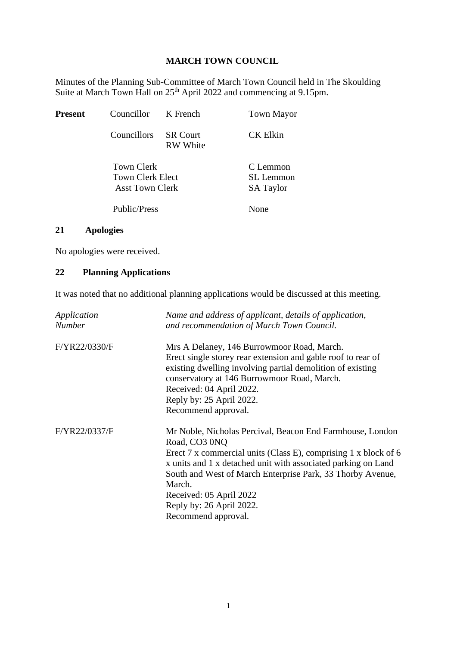## **MARCH TOWN COUNCIL**

Minutes of the Planning Sub-Committee of March Town Council held in The Skoulding Suite at March Town Hall on 25<sup>th</sup> April 2022 and commencing at 9.15pm.

| Present | Councillor K French                                                    |                                    | <b>Town Mayor</b>                                |
|---------|------------------------------------------------------------------------|------------------------------------|--------------------------------------------------|
|         | Councillors                                                            | <b>SR Court</b><br><b>RW</b> White | CK Elkin                                         |
|         | <b>Town Clerk</b><br><b>Town Clerk Elect</b><br><b>Asst Town Clerk</b> |                                    | C Lemmon<br><b>SL</b> Lemmon<br><b>SA Taylor</b> |
|         | Public/Press                                                           | None                               |                                                  |

## **21 Apologies**

No apologies were received.

## **22 Planning Applications**

It was noted that no additional planning applications would be discussed at this meeting.

| Application<br><b>Number</b> | Name and address of applicant, details of application,<br>and recommendation of March Town Council.                                                                      |
|------------------------------|--------------------------------------------------------------------------------------------------------------------------------------------------------------------------|
| F/YR22/0330/F                | Mrs A Delaney, 146 Burrowmoor Road, March.<br>Erect single storey rear extension and gable roof to rear of<br>existing dwelling involving partial demolition of existing |
|                              | conservatory at 146 Burrowmoor Road, March.                                                                                                                              |
|                              | Received: 04 April 2022.                                                                                                                                                 |
|                              | Reply by: 25 April 2022.                                                                                                                                                 |
|                              | Recommend approval.                                                                                                                                                      |
| F/YR22/0337/F                | Mr Noble, Nicholas Percival, Beacon End Farmhouse, London<br>Road, CO3 0NQ                                                                                               |
|                              | Erect 7 x commercial units (Class E), comprising 1 x block of 6<br>x units and 1 x detached unit with associated parking on Land                                         |
|                              | South and West of March Enterprise Park, 33 Thorby Avenue,                                                                                                               |
|                              | March.                                                                                                                                                                   |
|                              | Received: 05 April 2022                                                                                                                                                  |
|                              | Reply by: 26 April 2022.                                                                                                                                                 |
|                              | Recommend approval.                                                                                                                                                      |